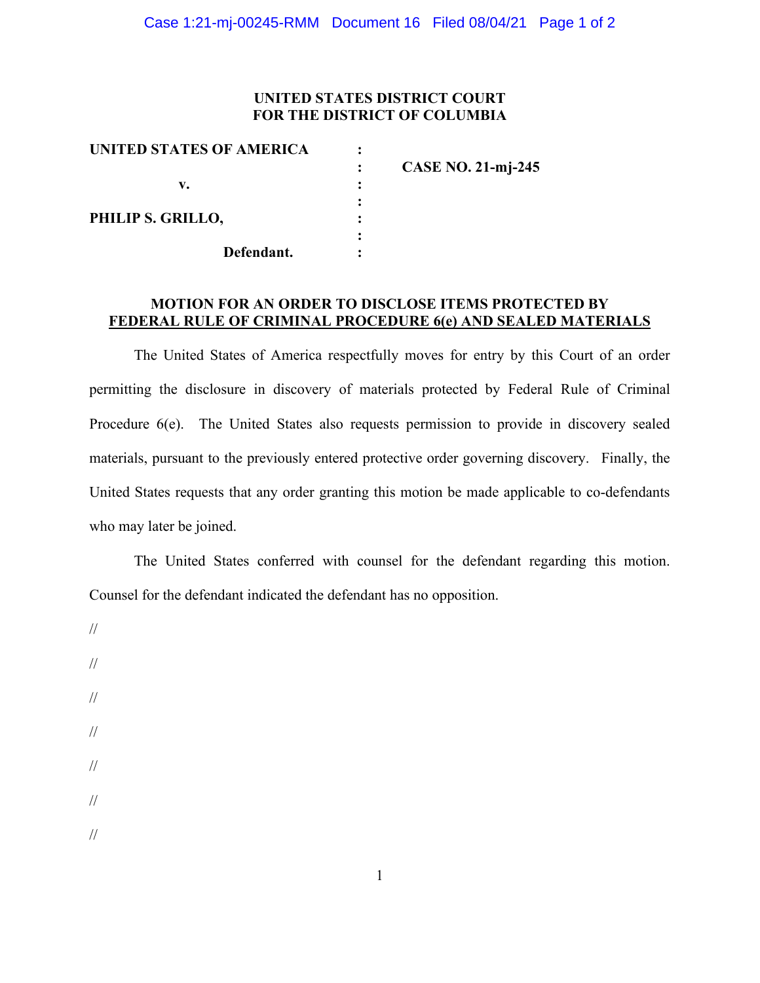### **UNITED STATES DISTRICT COURT FOR THE DISTRICT OF COLUMBIA**

| UNITED STATES OF AMERICA |                           |
|--------------------------|---------------------------|
|                          | <b>CASE NO. 21-mj-245</b> |
| v.                       |                           |
|                          |                           |
| PHILIP S. GRILLO,        |                           |
|                          |                           |
| Defendant.               |                           |
|                          |                           |

#### **MOTION FOR AN ORDER TO DISCLOSE ITEMS PROTECTED BY FEDERAL RULE OF CRIMINAL PROCEDURE 6(e) AND SEALED MATERIALS**

The United States of America respectfully moves for entry by this Court of an order permitting the disclosure in discovery of materials protected by Federal Rule of Criminal Procedure 6(e). The United States also requests permission to provide in discovery sealed materials, pursuant to the previously entered protective order governing discovery. Finally, the United States requests that any order granting this motion be made applicable to co-defendants who may later be joined.

The United States conferred with counsel for the defendant regarding this motion. Counsel for the defendant indicated the defendant has no opposition.

// // // // // // //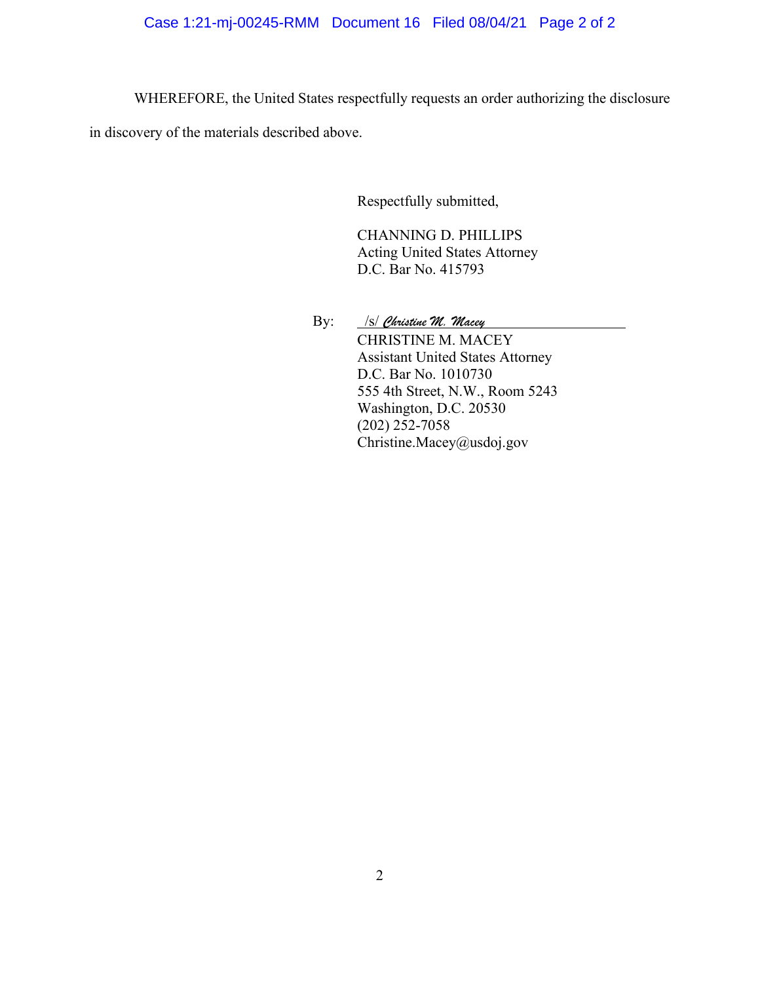WHEREFORE, the United States respectfully requests an order authorizing the disclosure

in discovery of the materials described above.

Respectfully submitted,

CHANNING D. PHILLIPS Acting United States Attorney D.C. Bar No. 415793

By: /s/ *Christine M. Macey* CHRISTINE M. MACEY Assistant United States Attorney D.C. Bar No. 1010730 555 4th Street, N.W., Room 5243 Washington, D.C. 20530 (202) 252-7058 Christine.Macey@usdoj.gov